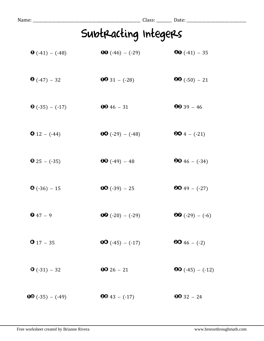| Name: __________        |                           |                           |
|-------------------------|---------------------------|---------------------------|
|                         | Subtracting Integers      |                           |
| $\bullet$ (-41) – (-48) | <b>00</b> $(-46) - (-29)$ | $\textbf{00} (-41) - 35$  |
| $\bullet$ (-47) – 32    | $0031 - (-28)$            | $99(-50) - 21$            |
| $\bullet$ (-35) – (-17) | $0046 - 31$               | $99 - 46$                 |
| $\bullet$ 12 – (-44)    | $OO(-29) - (-48)$         | $604 - (-21)$             |
| $\bullet$ 25 - (-35)    | $\textbf{00} (-49) - 48$  | $9946 - (-34)$            |
| $\bullet$ (-36) - 15    | $00 (-39) - 25$           | $9049 - (-27)$            |
| $947 - 9$               | $OQ(-20) - (-29)$         | $\bullet$ (-29) – (-6)    |
| $917 - 35$              | $00 (-45) - (-17)$        | $6046 - (-2)$             |
| $\bullet$ (-31) – 32    | $0026 - 21$               | <b>80</b> $(-45) - (-12)$ |
| $00(-35) - (-49)$       | $6043 - (-17)$            | $6032 - 24$               |